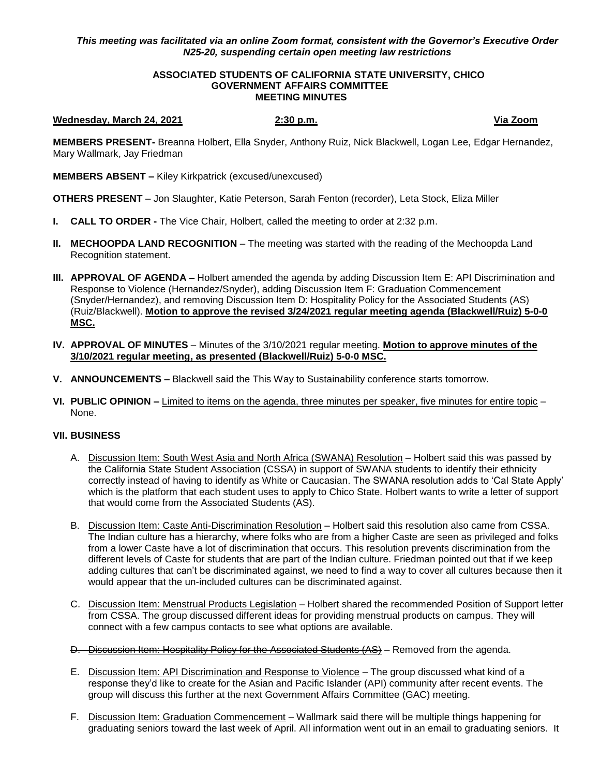# *This meeting was facilitated via an online Zoom format, consistent with the Governor's Executive Order N25-20, suspending certain open meeting law restrictions*

### **ASSOCIATED STUDENTS OF CALIFORNIA STATE UNIVERSITY, CHICO GOVERNMENT AFFAIRS COMMITTEE MEETING MINUTES**

### **Wednesday, March 24, 2021 2:30 p.m. Via Zoom**

**MEMBERS PRESENT-** Breanna Holbert, Ella Snyder, Anthony Ruiz, Nick Blackwell, Logan Lee, Edgar Hernandez, Mary Wallmark, Jay Friedman

**MEMBERS ABSENT –** Kiley Kirkpatrick (excused/unexcused)

**OTHERS PRESENT** – Jon Slaughter, Katie Peterson, Sarah Fenton (recorder), Leta Stock, Eliza Miller

- **I. CALL TO ORDER -** The Vice Chair, Holbert, called the meeting to order at 2:32 p.m.
- **II. MECHOOPDA LAND RECOGNITION** The meeting was started with the reading of the Mechoopda Land Recognition statement.
- **III. APPROVAL OF AGENDA –** Holbert amended the agenda by adding Discussion Item E: API Discrimination and Response to Violence (Hernandez/Snyder), adding Discussion Item F: Graduation Commencement (Snyder/Hernandez), and removing Discussion Item D: Hospitality Policy for the Associated Students (AS) (Ruiz/Blackwell). **Motion to approve the revised 3/24/2021 regular meeting agenda (Blackwell/Ruiz) 5-0-0 MSC.**
- **IV. APPROVAL OF MINUTES** Minutes of the 3/10/2021 regular meeting. **Motion to approve minutes of the 3/10/2021 regular meeting, as presented (Blackwell/Ruiz) 5-0-0 MSC.**
- **V. ANNOUNCEMENTS –** Blackwell said the This Way to Sustainability conference starts tomorrow.
- **VI. PUBLIC OPINION –** Limited to items on the agenda, three minutes per speaker, five minutes for entire topic None.

## **VII. BUSINESS**

- A. Discussion Item: South West Asia and North Africa (SWANA) Resolution Holbert said this was passed by the California State Student Association (CSSA) in support of SWANA students to identify their ethnicity correctly instead of having to identify as White or Caucasian. The SWANA resolution adds to 'Cal State Apply' which is the platform that each student uses to apply to Chico State. Holbert wants to write a letter of support that would come from the Associated Students (AS).
- B. Discussion Item: Caste Anti-Discrimination Resolution Holbert said this resolution also came from CSSA. The Indian culture has a hierarchy, where folks who are from a higher Caste are seen as privileged and folks from a lower Caste have a lot of discrimination that occurs. This resolution prevents discrimination from the different levels of Caste for students that are part of the Indian culture. Friedman pointed out that if we keep adding cultures that can't be discriminated against, we need to find a way to cover all cultures because then it would appear that the un-included cultures can be discriminated against.
- C. Discussion Item: Menstrual Products Legislation Holbert shared the recommended Position of Support letter from CSSA. The group discussed different ideas for providing menstrual products on campus. They will connect with a few campus contacts to see what options are available.
- D. Discussion Item: Hospitality Policy for the Associated Students (AS) Removed from the agenda.
- E. Discussion Item: API Discrimination and Response to Violence The group discussed what kind of a response they'd like to create for the Asian and Pacific Islander (API) community after recent events. The group will discuss this further at the next Government Affairs Committee (GAC) meeting.
- F. Discussion Item: Graduation Commencement Wallmark said there will be multiple things happening for graduating seniors toward the last week of April. All information went out in an email to graduating seniors. It